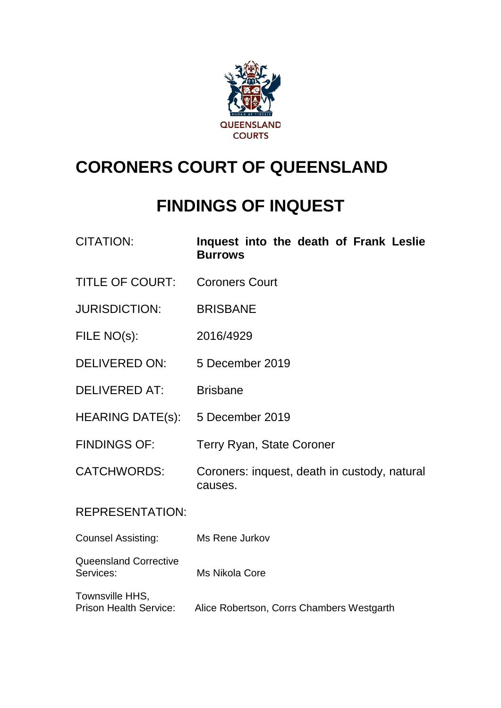

# **CORONERS COURT OF QUEENSLAND**

# **FINDINGS OF INQUEST**

| <b>CITATION:</b>                                 | Inquest into the death of Frank Leslie<br><b>Burrows</b> |
|--------------------------------------------------|----------------------------------------------------------|
| <b>TITLE OF COURT:</b>                           | <b>Coroners Court</b>                                    |
| <b>JURISDICTION:</b>                             | <b>BRISBANE</b>                                          |
| FILE NO(s):                                      | 2016/4929                                                |
| <b>DELIVERED ON:</b>                             | 5 December 2019                                          |
| <b>DELIVERED AT:</b>                             | <b>Brisbane</b>                                          |
| HEARING DATE(s): 5 December 2019                 |                                                          |
| <b>FINDINGS OF:</b>                              | <b>Terry Ryan, State Coroner</b>                         |
| <b>CATCHWORDS:</b>                               | Coroners: inquest, death in custody, natural<br>causes.  |
| <b>REPRESENTATION:</b>                           |                                                          |
| <b>Counsel Assisting:</b>                        | Ms Rene Jurkov                                           |
| <b>Queensland Corrective</b><br>Services:        | Ms Nikola Core                                           |
| Townsville HHS,<br><b>Prison Health Service:</b> | Alice Robertson, Corrs Chambers Westgarth                |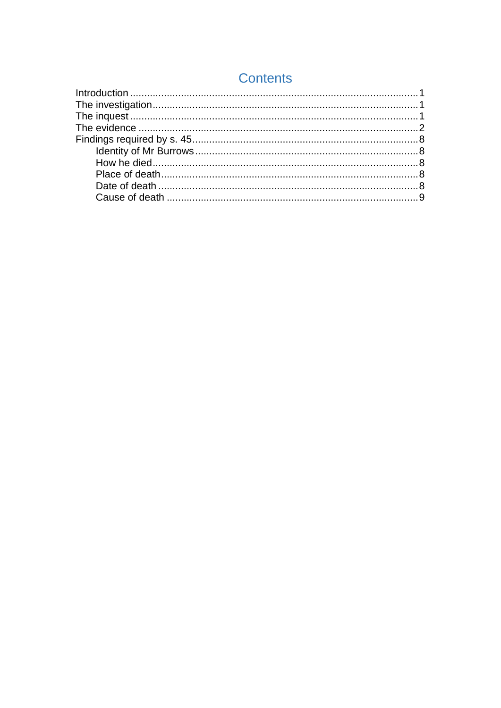| <b>Contents</b> |  |  |
|-----------------|--|--|
|                 |  |  |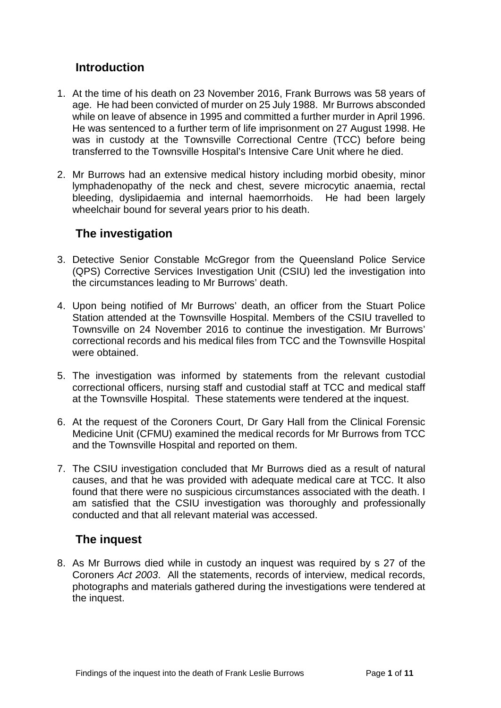# <span id="page-2-0"></span>**Introduction**

- 1. At the time of his death on 23 November 2016, Frank Burrows was 58 years of age. He had been convicted of murder on 25 July 1988. Mr Burrows absconded while on leave of absence in 1995 and committed a further murder in April 1996. He was sentenced to a further term of life imprisonment on 27 August 1998. He was in custody at the Townsville Correctional Centre (TCC) before being transferred to the Townsville Hospital's Intensive Care Unit where he died.
- 2. Mr Burrows had an extensive medical history including morbid obesity, minor lymphadenopathy of the neck and chest, severe microcytic anaemia, rectal bleeding, dyslipidaemia and internal haemorrhoids. He had been largely wheelchair bound for several years prior to his death.

# <span id="page-2-1"></span>**The investigation**

- 3. Detective Senior Constable McGregor from the Queensland Police Service (QPS) Corrective Services Investigation Unit (CSIU) led the investigation into the circumstances leading to Mr Burrows' death.
- 4. Upon being notified of Mr Burrows' death, an officer from the Stuart Police Station attended at the Townsville Hospital. Members of the CSIU travelled to Townsville on 24 November 2016 to continue the investigation. Mr Burrows' correctional records and his medical files from TCC and the Townsville Hospital were obtained.
- 5. The investigation was informed by statements from the relevant custodial correctional officers, nursing staff and custodial staff at TCC and medical staff at the Townsville Hospital. These statements were tendered at the inquest.
- 6. At the request of the Coroners Court, Dr Gary Hall from the Clinical Forensic Medicine Unit (CFMU) examined the medical records for Mr Burrows from TCC and the Townsville Hospital and reported on them.
- 7. The CSIU investigation concluded that Mr Burrows died as a result of natural causes, and that he was provided with adequate medical care at TCC. It also found that there were no suspicious circumstances associated with the death. I am satisfied that the CSIU investigation was thoroughly and professionally conducted and that all relevant material was accessed.

# <span id="page-2-2"></span>**The inquest**

8. As Mr Burrows died while in custody an inquest was required by s 27 of the Coroners *Act 2003*. All the statements, records of interview, medical records, photographs and materials gathered during the investigations were tendered at the inquest.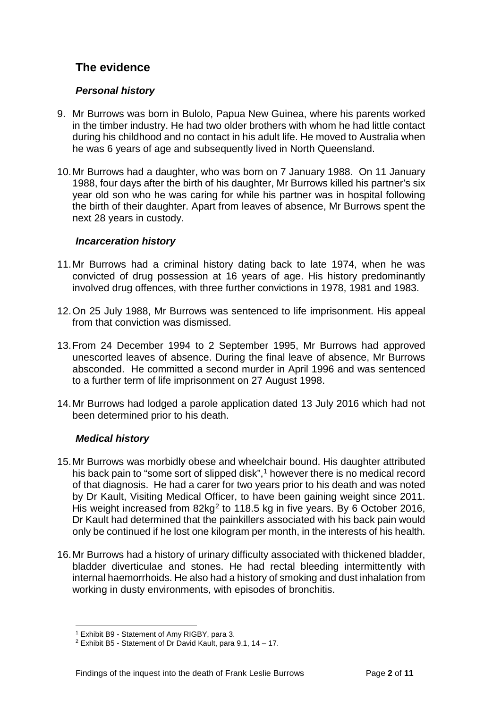# <span id="page-3-0"></span>**The evidence**

#### *Personal history*

- 9. Mr Burrows was born in Bulolo, Papua New Guinea, where his parents worked in the timber industry. He had two older brothers with whom he had little contact during his childhood and no contact in his adult life. He moved to Australia when he was 6 years of age and subsequently lived in North Queensland.
- 10.Mr Burrows had a daughter, who was born on 7 January 1988. On 11 January 1988, four days after the birth of his daughter, Mr Burrows killed his partner's six year old son who he was caring for while his partner was in hospital following the birth of their daughter. Apart from leaves of absence, Mr Burrows spent the next 28 years in custody.

#### *Incarceration history*

- 11.Mr Burrows had a criminal history dating back to late 1974, when he was convicted of drug possession at 16 years of age. His history predominantly involved drug offences, with three further convictions in 1978, 1981 and 1983.
- 12.On 25 July 1988, Mr Burrows was sentenced to life imprisonment. His appeal from that conviction was dismissed.
- 13.From 24 December 1994 to 2 September 1995, Mr Burrows had approved unescorted leaves of absence. During the final leave of absence, Mr Burrows absconded. He committed a second murder in April 1996 and was sentenced to a further term of life imprisonment on 27 August 1998.
- 14.Mr Burrows had lodged a parole application dated 13 July 2016 which had not been determined prior to his death.

### *Medical history*

- 15.Mr Burrows was morbidly obese and wheelchair bound. His daughter attributed his back pain to "some sort of slipped disk", [1](#page-3-1) however there is no medical record of that diagnosis. He had a carer for two years prior to his death and was noted by Dr Kault, Visiting Medical Officer, to have been gaining weight since 2011. His weight increased from 8[2](#page-3-2)kg<sup>2</sup> to 118.5 kg in five years. By 6 October 2016, Dr Kault had determined that the painkillers associated with his back pain would only be continued if he lost one kilogram per month, in the interests of his health.
- 16.Mr Burrows had a history of urinary difficulty associated with thickened bladder, bladder diverticulae and stones. He had rectal bleeding intermittently with internal haemorrhoids. He also had a history of smoking and dust inhalation from working in dusty environments, with episodes of bronchitis.

 $\overline{a}$ 

<span id="page-3-2"></span><span id="page-3-1"></span><sup>&</sup>lt;sup>1</sup> Exhibit B9 - Statement of Amy RIGBY, para 3.<br><sup>2</sup> Exhibit B5 - Statement of Dr David Kault, para 9.1, 14 – 17.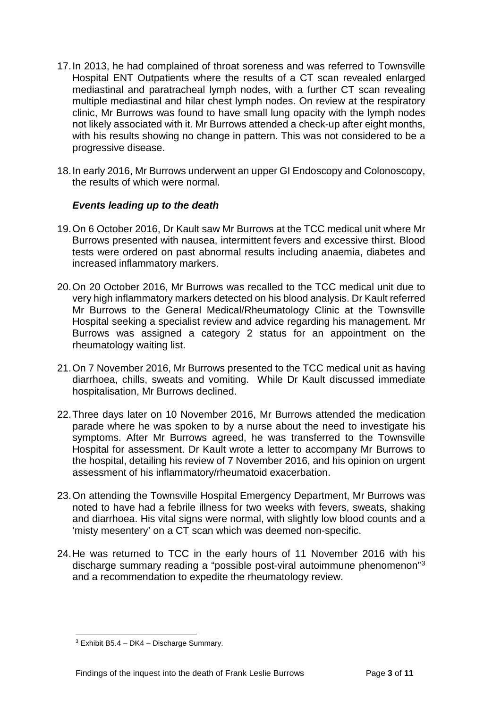- 17.In 2013, he had complained of throat soreness and was referred to Townsville Hospital ENT Outpatients where the results of a CT scan revealed enlarged mediastinal and paratracheal lymph nodes, with a further CT scan revealing multiple mediastinal and hilar chest lymph nodes. On review at the respiratory clinic, Mr Burrows was found to have small lung opacity with the lymph nodes not likely associated with it. Mr Burrows attended a check-up after eight months, with his results showing no change in pattern. This was not considered to be a progressive disease.
- 18.In early 2016, Mr Burrows underwent an upper GI Endoscopy and Colonoscopy, the results of which were normal.

#### *Events leading up to the death*

- 19.On 6 October 2016, Dr Kault saw Mr Burrows at the TCC medical unit where Mr Burrows presented with nausea, intermittent fevers and excessive thirst. Blood tests were ordered on past abnormal results including anaemia, diabetes and increased inflammatory markers.
- 20.On 20 October 2016, Mr Burrows was recalled to the TCC medical unit due to very high inflammatory markers detected on his blood analysis. Dr Kault referred Mr Burrows to the General Medical/Rheumatology Clinic at the Townsville Hospital seeking a specialist review and advice regarding his management. Mr Burrows was assigned a category 2 status for an appointment on the rheumatology waiting list.
- 21.On 7 November 2016, Mr Burrows presented to the TCC medical unit as having diarrhoea, chills, sweats and vomiting. While Dr Kault discussed immediate hospitalisation, Mr Burrows declined.
- 22.Three days later on 10 November 2016, Mr Burrows attended the medication parade where he was spoken to by a nurse about the need to investigate his symptoms. After Mr Burrows agreed, he was transferred to the Townsville Hospital for assessment. Dr Kault wrote a letter to accompany Mr Burrows to the hospital, detailing his review of 7 November 2016, and his opinion on urgent assessment of his inflammatory/rheumatoid exacerbation.
- 23.On attending the Townsville Hospital Emergency Department, Mr Burrows was noted to have had a febrile illness for two weeks with fevers, sweats, shaking and diarrhoea. His vital signs were normal, with slightly low blood counts and a 'misty mesentery' on a CT scan which was deemed non-specific.
- 24.He was returned to TCC in the early hours of 11 November 2016 with his discharge summary reading a "possible post-viral autoimmune phenomenon"[3](#page-4-0) and a recommendation to expedite the rheumatology review.

<span id="page-4-0"></span> $3$  Exhibit B5.4 – DK4 – Discharge Summary.  $\overline{a}$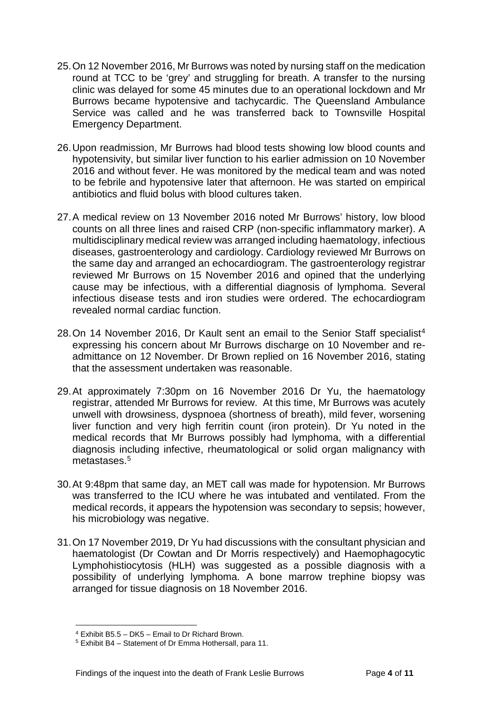- 25.On 12 November 2016, Mr Burrows was noted by nursing staff on the medication round at TCC to be 'grey' and struggling for breath. A transfer to the nursing clinic was delayed for some 45 minutes due to an operational lockdown and Mr Burrows became hypotensive and tachycardic. The Queensland Ambulance Service was called and he was transferred back to Townsville Hospital Emergency Department.
- 26.Upon readmission, Mr Burrows had blood tests showing low blood counts and hypotensivity, but similar liver function to his earlier admission on 10 November 2016 and without fever. He was monitored by the medical team and was noted to be febrile and hypotensive later that afternoon. He was started on empirical antibiotics and fluid bolus with blood cultures taken.
- 27.A medical review on 13 November 2016 noted Mr Burrows' history, low blood counts on all three lines and raised CRP (non-specific inflammatory marker). A multidisciplinary medical review was arranged including haematology, infectious diseases, gastroenterology and cardiology. Cardiology reviewed Mr Burrows on the same day and arranged an echocardiogram. The gastroenterology registrar reviewed Mr Burrows on 15 November 2016 and opined that the underlying cause may be infectious, with a differential diagnosis of lymphoma. Several infectious disease tests and iron studies were ordered. The echocardiogram revealed normal cardiac function.
- 28. On 1[4](#page-5-0) November 2016, Dr Kault sent an email to the Senior Staff specialist<sup>4</sup> expressing his concern about Mr Burrows discharge on 10 November and readmittance on 12 November. Dr Brown replied on 16 November 2016, stating that the assessment undertaken was reasonable.
- 29.At approximately 7:30pm on 16 November 2016 Dr Yu, the haematology registrar, attended Mr Burrows for review. At this time, Mr Burrows was acutely unwell with drowsiness, dyspnoea (shortness of breath), mild fever, worsening liver function and very high ferritin count (iron protein). Dr Yu noted in the medical records that Mr Burrows possibly had lymphoma, with a differential diagnosis including infective, rheumatological or solid organ malignancy with metastases.[5](#page-5-1)
- 30.At 9:48pm that same day, an MET call was made for hypotension. Mr Burrows was transferred to the ICU where he was intubated and ventilated. From the medical records, it appears the hypotension was secondary to sepsis; however, his microbiology was negative.
- 31.On 17 November 2019, Dr Yu had discussions with the consultant physician and haematologist (Dr Cowtan and Dr Morris respectively) and Haemophagocytic Lymphohistiocytosis (HLH) was suggested as a possible diagnosis with a possibility of underlying lymphoma. A bone marrow trephine biopsy was arranged for tissue diagnosis on 18 November 2016.

 $\overline{a}$ 

<span id="page-5-1"></span><span id="page-5-0"></span><sup>4</sup> Exhibit B5.5 – DK5 – Email to Dr Richard Brown. 5 Exhibit B4 – Statement of Dr Emma Hothersall, para 11.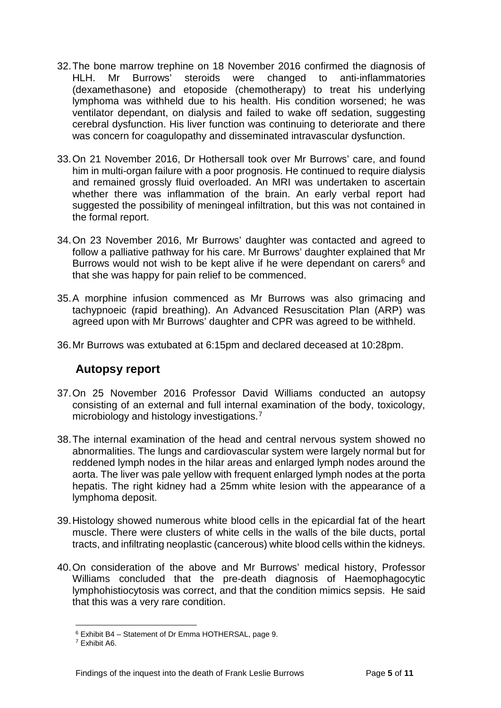- 32.The bone marrow trephine on 18 November 2016 confirmed the diagnosis of HLH. Mr Burrows' steroids were changed to anti-inflammatories (dexamethasone) and etoposide (chemotherapy) to treat his underlying lymphoma was withheld due to his health. His condition worsened; he was ventilator dependant, on dialysis and failed to wake off sedation, suggesting cerebral dysfunction. His liver function was continuing to deteriorate and there was concern for coagulopathy and disseminated intravascular dysfunction.
- 33.On 21 November 2016, Dr Hothersall took over Mr Burrows' care, and found him in multi-organ failure with a poor prognosis. He continued to require dialysis and remained grossly fluid overloaded. An MRI was undertaken to ascertain whether there was inflammation of the brain. An early verbal report had suggested the possibility of meningeal infiltration, but this was not contained in the formal report.
- 34.On 23 November 2016, Mr Burrows' daughter was contacted and agreed to follow a palliative pathway for his care. Mr Burrows' daughter explained that Mr Burrows would not wish to be kept alive if he were dependant on carers<sup>[6](#page-6-0)</sup> and that she was happy for pain relief to be commenced.
- 35.A morphine infusion commenced as Mr Burrows was also grimacing and tachypnoeic (rapid breathing). An Advanced Resuscitation Plan (ARP) was agreed upon with Mr Burrows' daughter and CPR was agreed to be withheld.
- 36.Mr Burrows was extubated at 6:15pm and declared deceased at 10:28pm.

### **Autopsy report**

- 37.On 25 November 2016 Professor David Williams conducted an autopsy consisting of an external and full internal examination of the body, toxicology, microbiology and histology investigations.<sup>[7](#page-6-1)</sup>
- 38.The internal examination of the head and central nervous system showed no abnormalities. The lungs and cardiovascular system were largely normal but for reddened lymph nodes in the hilar areas and enlarged lymph nodes around the aorta. The liver was pale yellow with frequent enlarged lymph nodes at the porta hepatis. The right kidney had a 25mm white lesion with the appearance of a lymphoma deposit.
- 39.Histology showed numerous white blood cells in the epicardial fat of the heart muscle. There were clusters of white cells in the walls of the bile ducts, portal tracts, and infiltrating neoplastic (cancerous) white blood cells within the kidneys.
- 40.On consideration of the above and Mr Burrows' medical history, Professor Williams concluded that the pre-death diagnosis of Haemophagocytic lymphohistiocytosis was correct, and that the condition mimics sepsis. He said that this was a very rare condition.

<span id="page-6-0"></span><sup>6</sup> Exhibit B4 – Statement of Dr Emma HOTHERSAL, page 9.  $\overline{a}$ 

<span id="page-6-1"></span><sup>7</sup> Exhibit A6.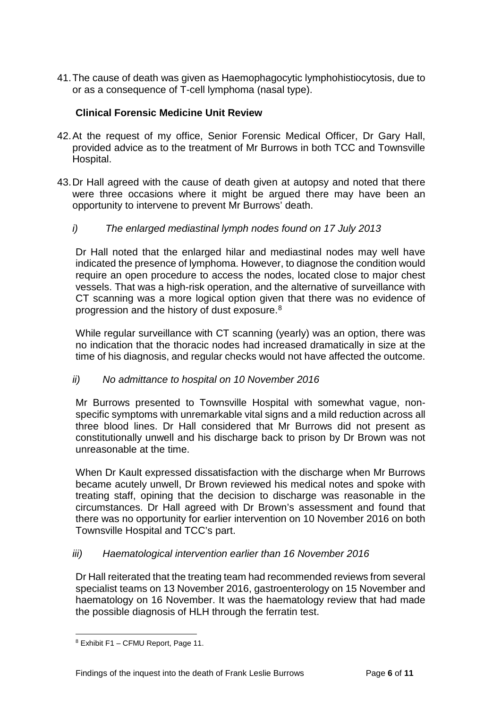41.The cause of death was given as Haemophagocytic lymphohistiocytosis, due to or as a consequence of T-cell lymphoma (nasal type).

### **Clinical Forensic Medicine Unit Review**

- 42.At the request of my office, Senior Forensic Medical Officer, Dr Gary Hall, provided advice as to the treatment of Mr Burrows in both TCC and Townsville Hospital.
- 43.Dr Hall agreed with the cause of death given at autopsy and noted that there were three occasions where it might be argued there may have been an opportunity to intervene to prevent Mr Burrows' death.

### *i) The enlarged mediastinal lymph nodes found on 17 July 2013*

Dr Hall noted that the enlarged hilar and mediastinal nodes may well have indicated the presence of lymphoma. However, to diagnose the condition would require an open procedure to access the nodes, located close to major chest vessels. That was a high-risk operation, and the alternative of surveillance with CT scanning was a more logical option given that there was no evidence of progression and the history of dust exposure.[8](#page-7-0)

While regular surveillance with CT scanning (yearly) was an option, there was no indication that the thoracic nodes had increased dramatically in size at the time of his diagnosis, and regular checks would not have affected the outcome.

### *ii) No admittance to hospital on 10 November 2016*

Mr Burrows presented to Townsville Hospital with somewhat vague, nonspecific symptoms with unremarkable vital signs and a mild reduction across all three blood lines. Dr Hall considered that Mr Burrows did not present as constitutionally unwell and his discharge back to prison by Dr Brown was not unreasonable at the time.

When Dr Kault expressed dissatisfaction with the discharge when Mr Burrows became acutely unwell, Dr Brown reviewed his medical notes and spoke with treating staff, opining that the decision to discharge was reasonable in the circumstances. Dr Hall agreed with Dr Brown's assessment and found that there was no opportunity for earlier intervention on 10 November 2016 on both Townsville Hospital and TCC's part.

### *iii) Haematological intervention earlier than 16 November 2016*

Dr Hall reiterated that the treating team had recommended reviews from several specialist teams on 13 November 2016, gastroenterology on 15 November and haematology on 16 November. It was the haematology review that had made the possible diagnosis of HLH through the ferratin test.

<span id="page-7-0"></span><sup>&</sup>lt;sup>8</sup> Exhibit F1 – CFMU Report, Page 11.  $\overline{a}$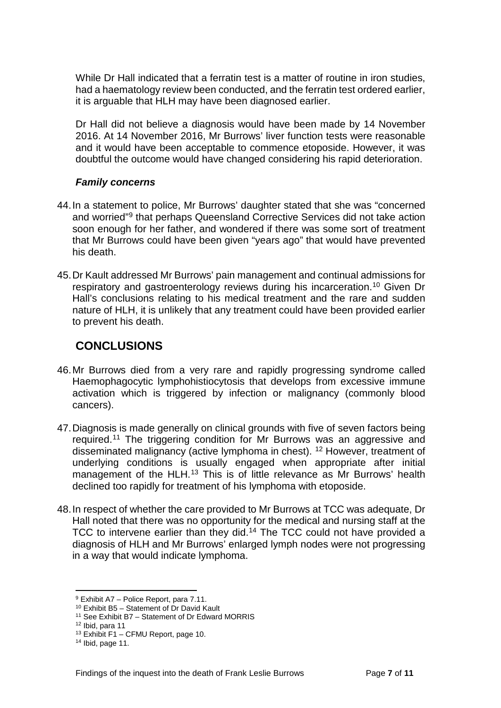While Dr Hall indicated that a ferratin test is a matter of routine in iron studies, had a haematology review been conducted, and the ferratin test ordered earlier, it is arguable that HLH may have been diagnosed earlier.

Dr Hall did not believe a diagnosis would have been made by 14 November 2016. At 14 November 2016, Mr Burrows' liver function tests were reasonable and it would have been acceptable to commence etoposide. However, it was doubtful the outcome would have changed considering his rapid deterioration.

#### *Family concerns*

- 44.In a statement to police, Mr Burrows' daughter stated that she was "concerned and worried"[9](#page-8-0) that perhaps Queensland Corrective Services did not take action soon enough for her father, and wondered if there was some sort of treatment that Mr Burrows could have been given "years ago" that would have prevented his death.
- 45.Dr Kault addressed Mr Burrows' pain management and continual admissions for respiratory and gastroenterology reviews during his incarceration.<sup>[10](#page-8-1)</sup> Given Dr Hall's conclusions relating to his medical treatment and the rare and sudden nature of HLH, it is unlikely that any treatment could have been provided earlier to prevent his death.

## **CONCLUSIONS**

- 46.Mr Burrows died from a very rare and rapidly progressing syndrome called Haemophagocytic lymphohistiocytosis that develops from excessive immune activation which is triggered by infection or malignancy (commonly blood cancers).
- 47.Diagnosis is made generally on clinical grounds with five of seven factors being required.[11](#page-8-2) The triggering condition for Mr Burrows was an aggressive and disseminated malignancy (active lymphoma in chest). [12](#page-8-3) However, treatment of underlying conditions is usually engaged when appropriate after initial management of the HLH.<sup>[13](#page-8-4)</sup> This is of little relevance as Mr Burrows' health declined too rapidly for treatment of his lymphoma with etoposide.
- 48.In respect of whether the care provided to Mr Burrows at TCC was adequate, Dr Hall noted that there was no opportunity for the medical and nursing staff at the TCC to intervene earlier than they did.<sup>[14](#page-8-5)</sup> The TCC could not have provided a diagnosis of HLH and Mr Burrows' enlarged lymph nodes were not progressing in a way that would indicate lymphoma.

 $\overline{a}$ 

<span id="page-8-0"></span><sup>9</sup> Exhibit A7 – Police Report, para 7.11.

<span id="page-8-1"></span><sup>10</sup> Exhibit B5 – Statement of Dr David Kault

<span id="page-8-2"></span><sup>&</sup>lt;sup>11</sup> See Exhibit B7 – Statement of Dr Edward MORRIS<sup>12</sup> Ibid, para 11

<span id="page-8-4"></span><span id="page-8-3"></span> $13$  Exhibit F1 – CFMU Report, page 10.

<span id="page-8-5"></span> $14$  Ibid, page 11.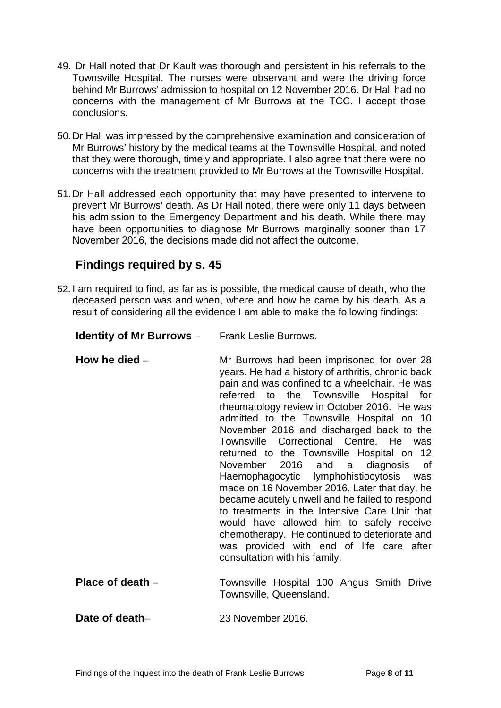- 49. Dr Hall noted that Dr Kault was thorough and persistent in his referrals to the Townsville Hospital. The nurses were observant and were the driving force behind Mr Burrows' admission to hospital on 12 November 2016. Dr Hall had no concerns with the management of Mr Burrows at the TCC. I accept those conclusions.
- 50.Dr Hall was impressed by the comprehensive examination and consideration of Mr Burrows' history by the medical teams at the Townsville Hospital, and noted that they were thorough, timely and appropriate. I also agree that there were no concerns with the treatment provided to Mr Burrows at the Townsville Hospital.
- 51.Dr Hall addressed each opportunity that may have presented to intervene to prevent Mr Burrows' death. As Dr Hall noted, there were only 11 days between his admission to the Emergency Department and his death. While there may have been opportunities to diagnose Mr Burrows marginally sooner than 17 November 2016, the decisions made did not affect the outcome.

## <span id="page-9-0"></span>**Findings required by s. 45**

- <span id="page-9-4"></span><span id="page-9-3"></span><span id="page-9-2"></span><span id="page-9-1"></span>52. I am required to find, as far as is possible, the medical cause of death, who the deceased person was and when, where and how he came by his death. As a result of considering all the evidence I am able to make the following findings:
	- **Identity of Mr Burrows** Frank Leslie Burrows.
	- **How he died** Mr Burrows had been imprisoned for over 28 years. He had a history of arthritis, chronic back pain and was confined to a wheelchair. He was referred to the Townsville Hospital for rheumatology review in October 2016. He was admitted to the Townsville Hospital on 10 November 2016 and discharged back to the Townsville Correctional Centre. He was returned to the Townsville Hospital on 12 November 2016 and a diagnosis of Haemophagocytic lymphohistiocytosis was made on 16 November 2016. Later that day, he became acutely unwell and he failed to respond to treatments in the Intensive Care Unit that would have allowed him to safely receive chemotherapy. He continued to deteriorate and was provided with end of life care after consultation with his family. **Place of death** – Townsville Hospital 100 Angus Smith Drive
	- Townsville, Queensland.
	- **Date of death–** 23 November 2016.